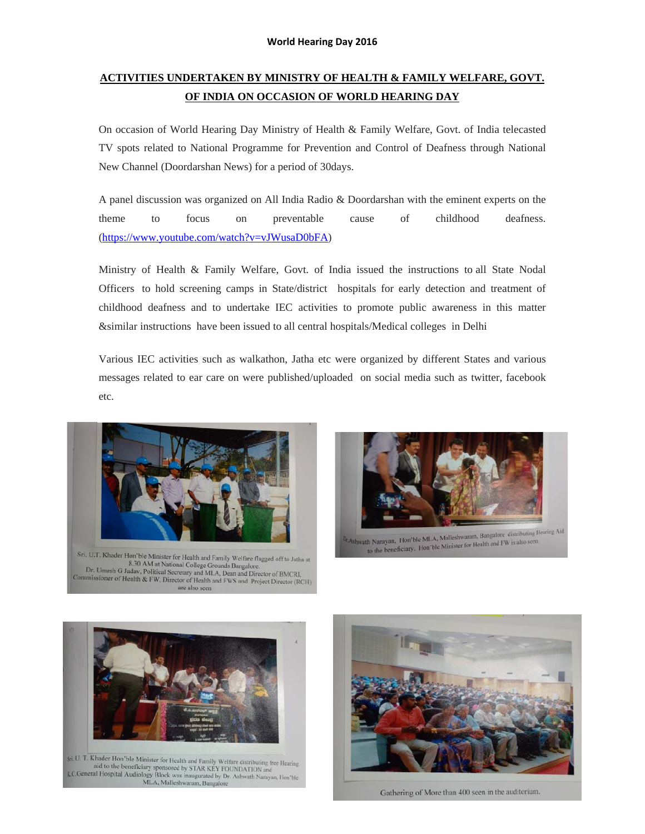# **ACTIVITIES UNDERTAKEN BY MINISTRY OF HEALTH & FAMILY WELFARE, GOVT. OF INDIA ON OCCASION OF WORLD HEARING DAY**

On occasion of World Hearing Day Ministry of Health & Family Welfare, Govt. of India telecasted TV spots related to National Programme for Prevention and Control of Deafness through National New Channel (Doordarshan News) for a period of 30days.

A panel discussion was organized on All India Radio & Doordarshan with the eminent experts on the theme to focus on preventable cause of childhood deafness. (https://www.youtube.com/watch?v=vJWusaD0bFA)

Ministry of Health & Family Welfare, Govt. of India issued the instructions to all State Nodal Officers to hold screening camps in State/district hospitals for early detection and treatment of childhood deafness and to undertake IEC activities to promote public awareness in this matter &similar instructions have been issued to all central hospitals/Medical colleges in Delhi

Various IEC activities such as walkathon, Jatha etc were organized by different States and various messages related to ear care on were published/uploaded on social media such as twitter, facebook etc.



Sri, U.T. Khader Hon'ble Minister for Health and Family Welfare flagged off to Jatha at For Carry Consister to Health and Family Welfare flagged off to Jathur 18.30 AM at National College Grounds Bangalore.<br>Dr. Umesh G Jaday, Political Secretary and MLA, Dean and Director of BMCRI, Commissioner of Health & FW, Director of Health and FWS and Project Director (RCH) are also seen



eath Narayan, Hon'ble MLA, Malleshwaram, Bangalore distributing Hearing Aid<br>https://www.php.pdf.pdf (and FW is also seen. th Narayan, Hon'ble MLA, Malleshwaram, Bangalore distributing to<br>to the beneficiary. Hon'ble Minister for Health and FW is also seen.





Gathering of More than 400 seen in the auditorium.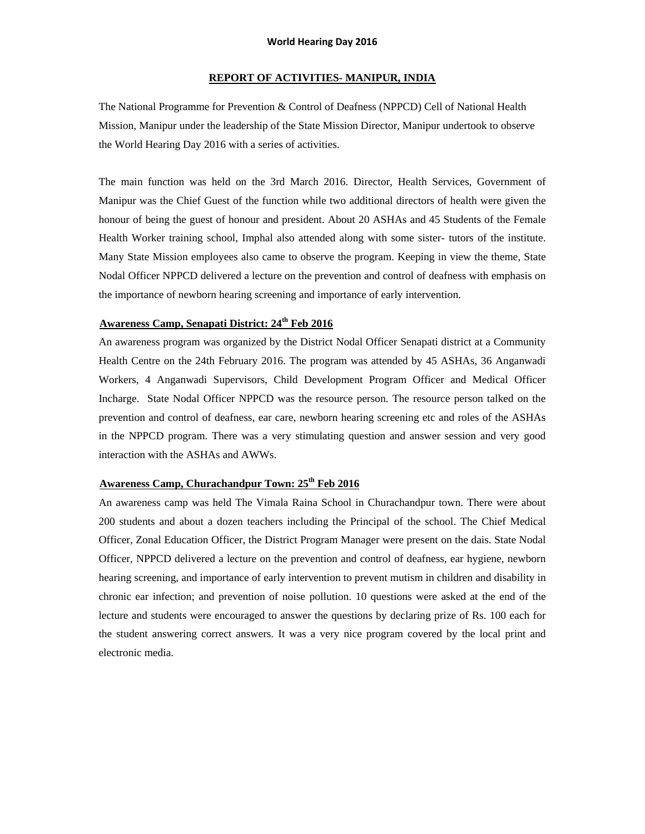## **REPORT OF ACTIVITIES- MANIPUR, INDIA**

The National Programme for Prevention & Control of Deafness (NPPCD) Cell of National Health Mission, Manipur under the leadership of the State Mission Director, Manipur undertook to observe the World Hearing Day 2016 with a series of activities.

The main function was held on the 3rd March 2016. Director, Health Services, Government of Manipur was the Chief Guest of the function while two additional directors of health were given the honour of being the guest of honour and president. About 20 ASHAs and 45 Students of the Female Health Worker training school, Imphal also attended along with some sister- tutors of the institute. Many State Mission employees also came to observe the program. Keeping in view the theme, State Nodal Officer NPPCD delivered a lecture on the prevention and control of deafness with emphasis on the importance of newborn hearing screening and importance of early intervention.

## **Awareness Camp, Senapati District: 24th Feb 2016**

An awareness program was organized by the District Nodal Officer Senapati district at a Community Health Centre on the 24th February 2016. The program was attended by 45 ASHAs, 36 Anganwadi Workers, 4 Anganwadi Supervisors, Child Development Program Officer and Medical Officer Incharge. State Nodal Officer NPPCD was the resource person. The resource person talked on the prevention and control of deafness, ear care, newborn hearing screening etc and roles of the ASHAs in the NPPCD program. There was a very stimulating question and answer session and very good interaction with the ASHAs and AWWs.

## Awareness Camp, Churachandpur Town: 25<sup>th</sup> Feb 2016

An awareness camp was held The Vimala Raina School in Churachandpur town. There were about 200 students and about a dozen teachers including the Principal of the school. The Chief Medical Officer, Zonal Education Officer, the District Program Manager were present on the dais. State Nodal Officer, NPPCD delivered a lecture on the prevention and control of deafness, ear hygiene, newborn hearing screening, and importance of early intervention to prevent mutism in children and disability in chronic ear infection; and prevention of noise pollution. 10 questions were asked at the end of the lecture and students were encouraged to answer the questions by declaring prize of Rs. 100 each for the student answering correct answers. It was a very nice program covered by the local print and electronic media.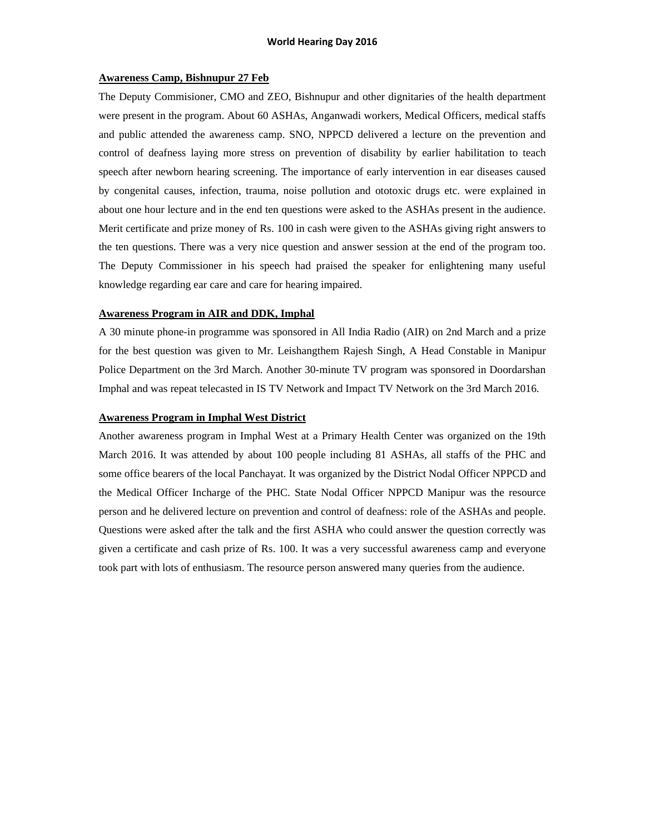#### **Awareness Camp, Bishnupur 27 Feb**

The Deputy Commisioner, CMO and ZEO, Bishnupur and other dignitaries of the health department were present in the program. About 60 ASHAs, Anganwadi workers, Medical Officers, medical staffs and public attended the awareness camp. SNO, NPPCD delivered a lecture on the prevention and control of deafness laying more stress on prevention of disability by earlier habilitation to teach speech after newborn hearing screening. The importance of early intervention in ear diseases caused by congenital causes, infection, trauma, noise pollution and ototoxic drugs etc. were explained in about one hour lecture and in the end ten questions were asked to the ASHAs present in the audience. Merit certificate and prize money of Rs. 100 in cash were given to the ASHAs giving right answers to the ten questions. There was a very nice question and answer session at the end of the program too. The Deputy Commissioner in his speech had praised the speaker for enlightening many useful knowledge regarding ear care and care for hearing impaired.

#### **Awareness Program in AIR and DDK, Imphal**

A 30 minute phone-in programme was sponsored in All India Radio (AIR) on 2nd March and a prize for the best question was given to Mr. Leishangthem Rajesh Singh, A Head Constable in Manipur Police Department on the 3rd March. Another 30-minute TV program was sponsored in Doordarshan Imphal and was repeat telecasted in IS TV Network and Impact TV Network on the 3rd March 2016.

### **Awareness Program in Imphal West District**

Another awareness program in Imphal West at a Primary Health Center was organized on the 19th March 2016. It was attended by about 100 people including 81 ASHAs, all staffs of the PHC and some office bearers of the local Panchayat. It was organized by the District Nodal Officer NPPCD and the Medical Officer Incharge of the PHC. State Nodal Officer NPPCD Manipur was the resource person and he delivered lecture on prevention and control of deafness: role of the ASHAs and people. Questions were asked after the talk and the first ASHA who could answer the question correctly was given a certificate and cash prize of Rs. 100. It was a very successful awareness camp and everyone took part with lots of enthusiasm. The resource person answered many queries from the audience.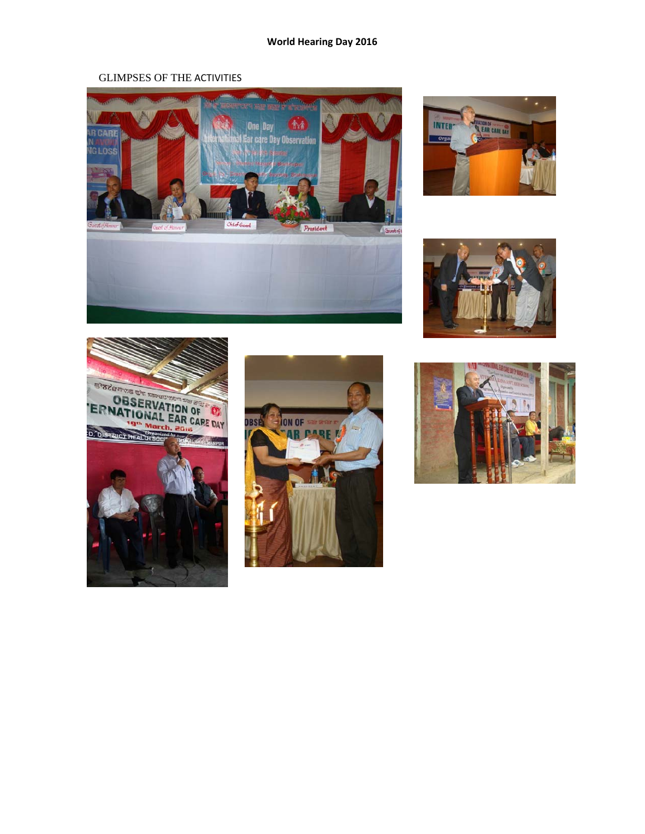## GLIMPSES OF THE ACTIVITIES











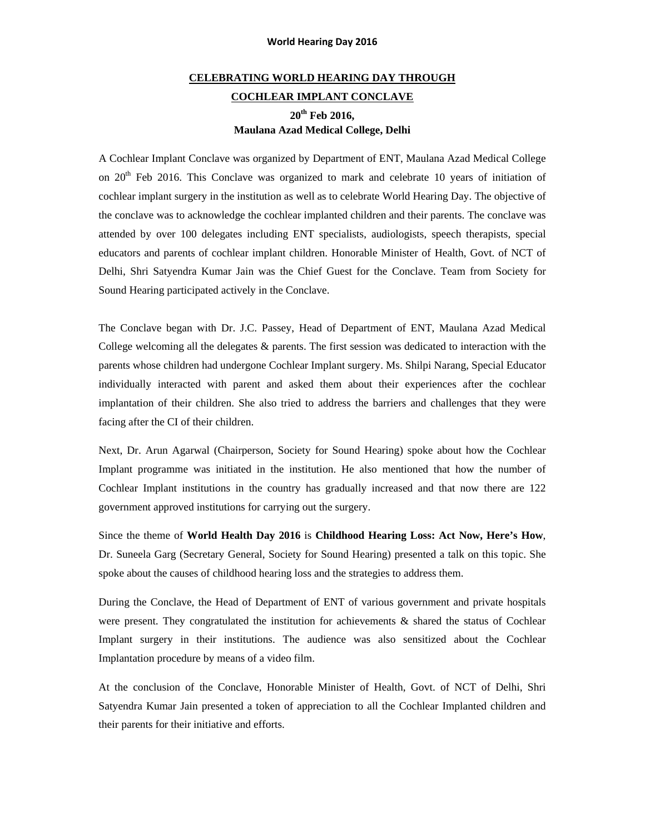# **CELEBRATING WORLD HEARING DAY THROUGH COCHLEAR IMPLANT CONCLAVE 20th Feb 2016, Maulana Azad Medical College, Delhi**

A Cochlear Implant Conclave was organized by Department of ENT, Maulana Azad Medical College on  $20<sup>th</sup>$  Feb 2016. This Conclave was organized to mark and celebrate 10 years of initiation of cochlear implant surgery in the institution as well as to celebrate World Hearing Day. The objective of the conclave was to acknowledge the cochlear implanted children and their parents. The conclave was attended by over 100 delegates including ENT specialists, audiologists, speech therapists, special educators and parents of cochlear implant children. Honorable Minister of Health, Govt. of NCT of Delhi, Shri Satyendra Kumar Jain was the Chief Guest for the Conclave. Team from Society for Sound Hearing participated actively in the Conclave.

The Conclave began with Dr. J.C. Passey, Head of Department of ENT, Maulana Azad Medical College welcoming all the delegates & parents. The first session was dedicated to interaction with the parents whose children had undergone Cochlear Implant surgery. Ms. Shilpi Narang, Special Educator individually interacted with parent and asked them about their experiences after the cochlear implantation of their children. She also tried to address the barriers and challenges that they were facing after the CI of their children.

Next, Dr. Arun Agarwal (Chairperson, Society for Sound Hearing) spoke about how the Cochlear Implant programme was initiated in the institution. He also mentioned that how the number of Cochlear Implant institutions in the country has gradually increased and that now there are 122 government approved institutions for carrying out the surgery.

Since the theme of **World Health Day 2016** is **Childhood Hearing Loss: Act Now, Here's How**, Dr. Suneela Garg (Secretary General, Society for Sound Hearing) presented a talk on this topic. She spoke about the causes of childhood hearing loss and the strategies to address them.

During the Conclave, the Head of Department of ENT of various government and private hospitals were present. They congratulated the institution for achievements & shared the status of Cochlear Implant surgery in their institutions. The audience was also sensitized about the Cochlear Implantation procedure by means of a video film.

At the conclusion of the Conclave, Honorable Minister of Health, Govt. of NCT of Delhi, Shri Satyendra Kumar Jain presented a token of appreciation to all the Cochlear Implanted children and their parents for their initiative and efforts.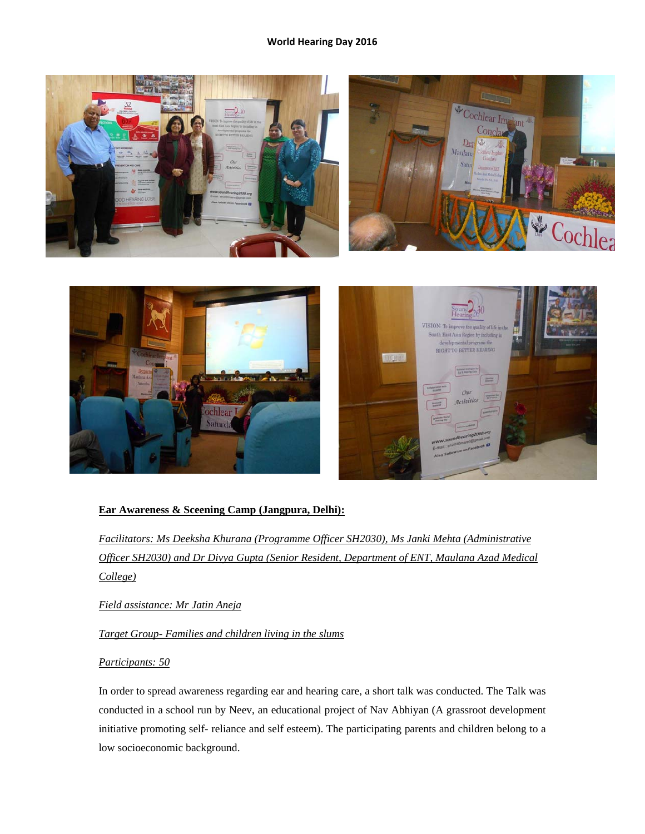

## **Ear Awareness & Sceening Camp (Jangpura, Delhi):**

*Facilitators: Ms Deeksha Khurana (Programme Officer SH2030), Ms Janki Mehta (Administrative Officer SH2030) and Dr Divya Gupta (Senior Resident, Department of ENT, Maulana Azad Medical College)*

*Field assistance: Mr Jatin Aneja*

*Target Group- Families and children living in the slums*

## *Participants: 50*

In order to spread awareness regarding ear and hearing care, a short talk was conducted. The Talk was conducted in a school run by Neev, an educational project of Nav Abhiyan (A grassroot development initiative promoting self- reliance and self esteem). The participating parents and children belong to a low socioeconomic background.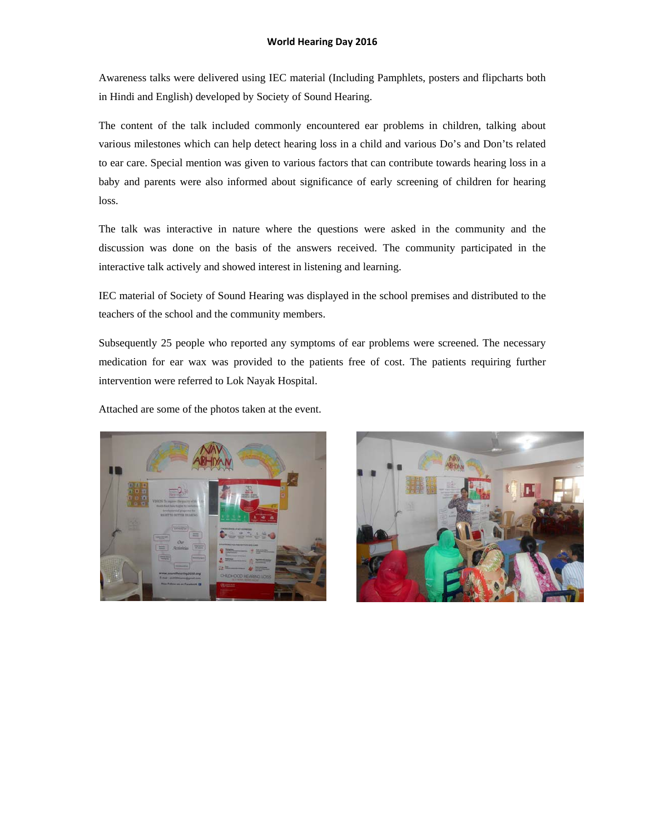Awareness talks were delivered using IEC material (Including Pamphlets, posters and flipcharts both in Hindi and English) developed by Society of Sound Hearing.

The content of the talk included commonly encountered ear problems in children, talking about various milestones which can help detect hearing loss in a child and various Do's and Don'ts related to ear care. Special mention was given to various factors that can contribute towards hearing loss in a baby and parents were also informed about significance of early screening of children for hearing loss.

The talk was interactive in nature where the questions were asked in the community and the discussion was done on the basis of the answers received. The community participated in the interactive talk actively and showed interest in listening and learning.

IEC material of Society of Sound Hearing was displayed in the school premises and distributed to the teachers of the school and the community members.

Subsequently 25 people who reported any symptoms of ear problems were screened. The necessary medication for ear wax was provided to the patients free of cost. The patients requiring further intervention were referred to Lok Nayak Hospital.

Attached are some of the photos taken at the event.



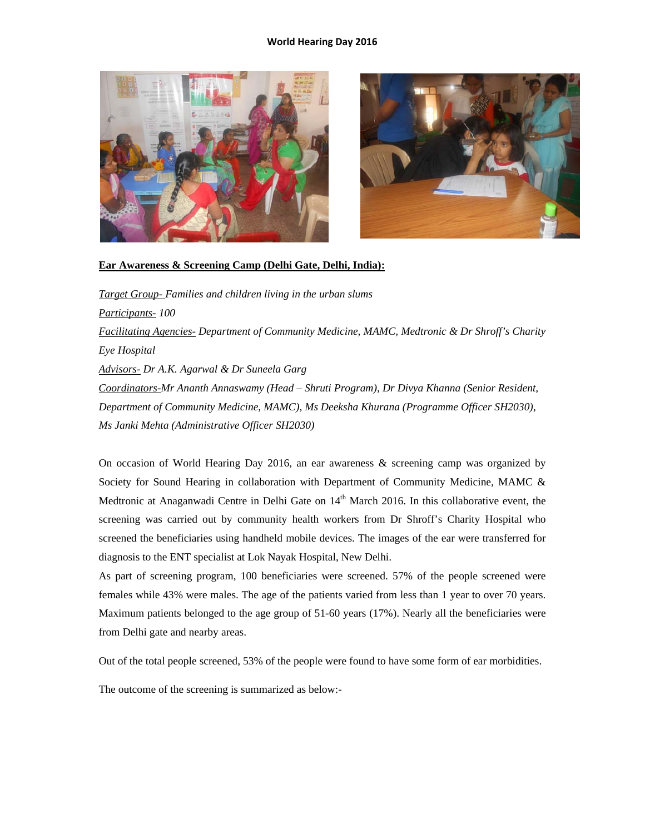



### **Ear Awareness & Screening Camp (Delhi Gate, Delhi, India):**

*Target Group- Families and children living in the urban slums Participants- 100 Facilitating Agencies- Department of Community Medicine, MAMC, Medtronic & Dr Shroff's Charity Eye Hospital Advisors- Dr A.K. Agarwal & Dr Suneela Garg Coordinators-Mr Ananth Annaswamy (Head – Shruti Program), Dr Divya Khanna (Senior Resident, Department of Community Medicine, MAMC), Ms Deeksha Khurana (Programme Officer SH2030), Ms Janki Mehta (Administrative Officer SH2030)* 

On occasion of World Hearing Day 2016, an ear awareness & screening camp was organized by Society for Sound Hearing in collaboration with Department of Community Medicine, MAMC & Medtronic at Anaganwadi Centre in Delhi Gate on 14<sup>th</sup> March 2016. In this collaborative event, the screening was carried out by community health workers from Dr Shroff's Charity Hospital who screened the beneficiaries using handheld mobile devices. The images of the ear were transferred for diagnosis to the ENT specialist at Lok Nayak Hospital, New Delhi.

As part of screening program, 100 beneficiaries were screened. 57% of the people screened were females while 43% were males. The age of the patients varied from less than 1 year to over 70 years. Maximum patients belonged to the age group of 51-60 years (17%). Nearly all the beneficiaries were from Delhi gate and nearby areas.

Out of the total people screened, 53% of the people were found to have some form of ear morbidities.

The outcome of the screening is summarized as below:-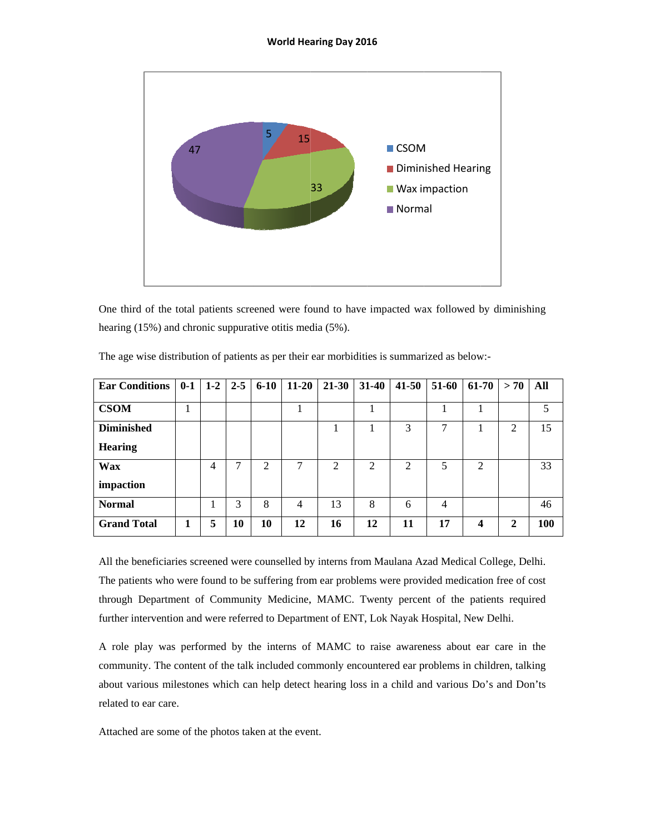

One third of the total patients screened were found to have impacted wax followed by diminishing hearing (15%) and chronic suppurative otitis media (5%).

| <b>Ear Conditions</b> | $0-1$ |   | $1-2$ 2-5 | $6 - 10$ | $11 - 20$      | $21 - 30$      | $31 - 40$      | $41 - 50$ | 51-60          | 61-70                   | > 70         | All |
|-----------------------|-------|---|-----------|----------|----------------|----------------|----------------|-----------|----------------|-------------------------|--------------|-----|
|                       |       |   |           |          |                |                |                |           |                |                         |              |     |
| <b>CSOM</b>           |       |   |           |          |                |                |                |           |                |                         |              |     |
| <b>Diminished</b>     |       |   |           |          |                |                |                | 3         | 7              |                         | 2            | 15  |
| <b>Hearing</b>        |       |   |           |          |                |                |                |           |                |                         |              |     |
| <b>Wax</b>            |       | 4 | ⇁         | 2        | 7              | $\overline{2}$ | $\overline{2}$ | 2         | 5              | $\overline{2}$          |              | 33  |
| impaction             |       |   |           |          |                |                |                |           |                |                         |              |     |
| <b>Normal</b>         |       |   | 3         | 8        | $\overline{4}$ | 13             | 8              | 6         | $\overline{4}$ |                         |              | 46  |
| <b>Grand Total</b>    | 1     | 5 | <b>10</b> | 10       | 12             | 16             | 12             | 11        | 17             | $\overline{\mathbf{4}}$ | $\mathbf{2}$ | 100 |

The age wise distribution of patients as per their ear morbidities is summarized as below:-

All the beneficiaries screened were counselled by interns from Maulana Azad Medical College, Delhi. The patients who were found to be suffering from ear problems were provided medication free of cost through Department of Community Medicine, MAMC. Twenty percent of the patients required further intervention and were referred to Department of ENT, Lok Nayak Hospital, New Delhi.

A role play was performed by the interns of MAMC to raise awareness about ear care in the community. The content of the talk included commonly encountered ear problems in children, talking about various milestones which can help detect hearing loss in a child and various Do's and Don'ts related to ear care.

Attached are some of the photos taken at the event.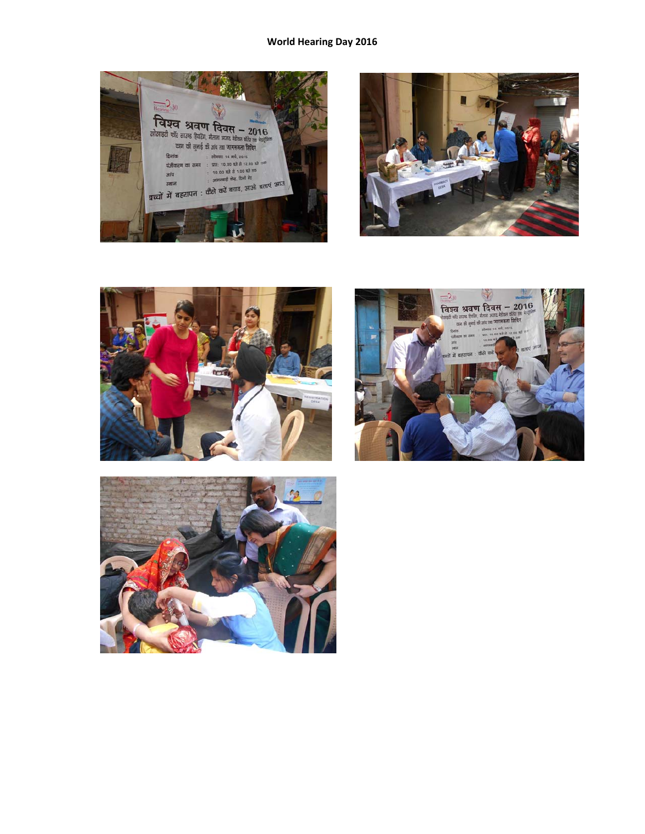







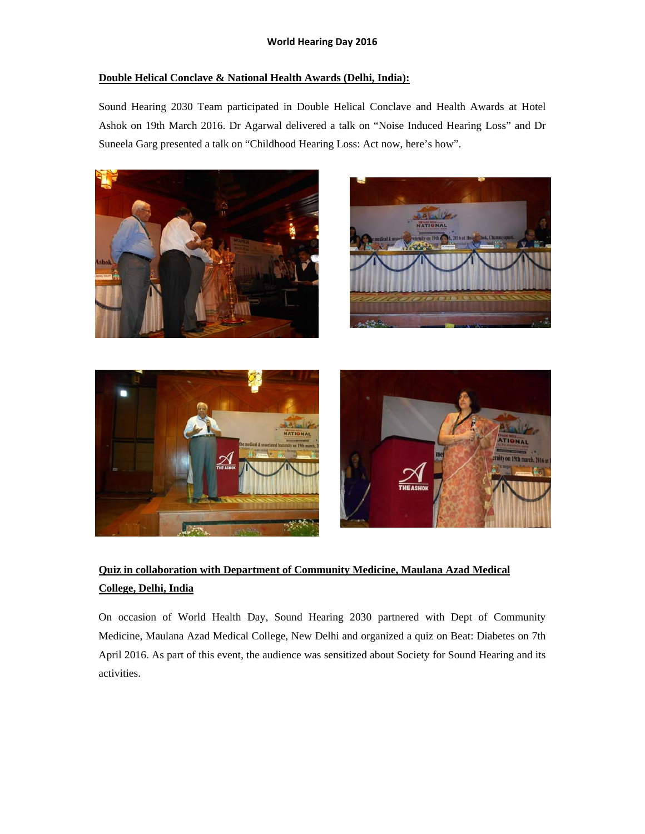## **Double Helical Conclave & National Health Awards (Delhi, India):**

Sound Hearing 2030 Team participated in Double Helical Conclave and Health Awards at Hotel Ashok on 19th March 2016. Dr Agarwal delivered a talk on "Noise Induced Hearing Loss" and Dr Suneela Garg presented a talk on "Childhood Hearing Loss: Act now, here's how".









# **Quiz in collaboration with Department of Community Medicine, Maulana Azad Medical College, Delhi, India**

On occasion of World Health Day, Sound Hearing 2030 partnered with Dept of Community Medicine, Maulana Azad Medical College, New Delhi and organized a quiz on Beat: Diabetes on 7th April 2016. As part of this event, the audience was sensitized about Society for Sound Hearing and its activities.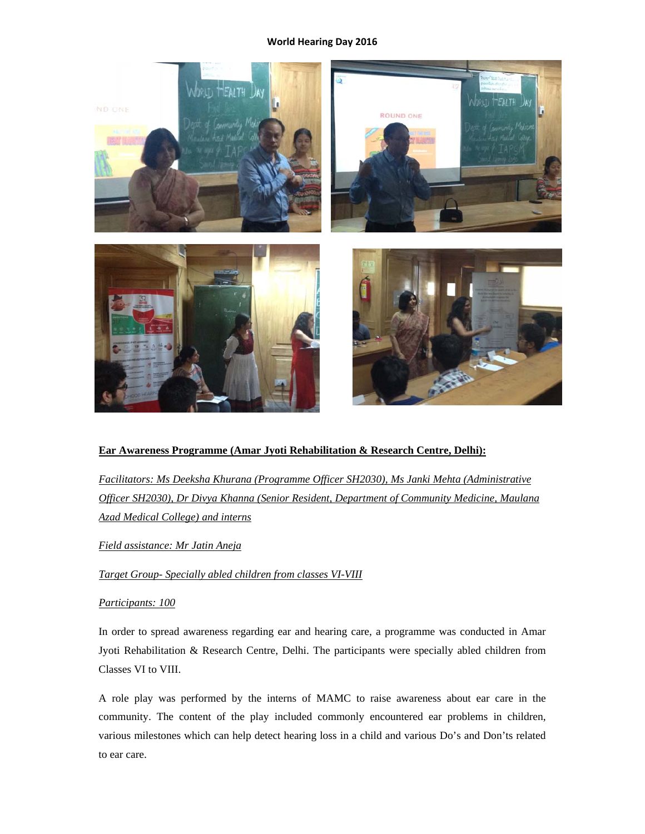

## **Ear Awareness Programme (Amar Jyoti Rehabilitation & Research Centre, Delhi):**

*Facilitators: Ms Deeksha Khurana (Programme Officer SH2030), Ms Janki Mehta (Administrative Officer SH2030), Dr Divya Khanna (Senior Resident, Department of Community Medicine, Maulana Azad Medical College) and interns*

*Field assistance: Mr Jatin Aneja*

*Target Group- Specially abled children from classes VI-VIII*

## *Participants: 100*

In order to spread awareness regarding ear and hearing care, a programme was conducted in Amar Jyoti Rehabilitation & Research Centre, Delhi. The participants were specially abled children from Classes VI to VIII.

A role play was performed by the interns of MAMC to raise awareness about ear care in the community. The content of the play included commonly encountered ear problems in children, various milestones which can help detect hearing loss in a child and various Do's and Don'ts related to ear care.